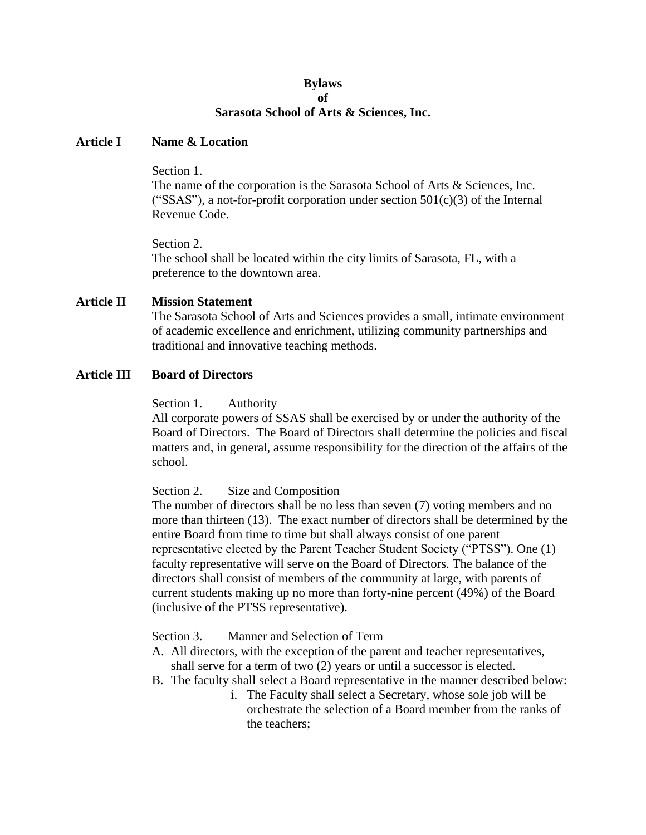#### **Bylaws of**

# **Sarasota School of Arts & Sciences, Inc.**

### **Article I Name & Location**

Section 1.

The name of the corporation is the Sarasota School of Arts & Sciences, Inc. ("SSAS"), a not-for-profit corporation under section  $501(c)(3)$  of the Internal Revenue Code.

Section 2.

The school shall be located within the city limits of Sarasota, FL, with a preference to the downtown area.

# **Article II Mission Statement**

The Sarasota School of Arts and Sciences provides a small, intimate environment of academic excellence and enrichment, utilizing community partnerships and traditional and innovative teaching methods.

# **Article III Board of Directors**

Section 1. Authority

All corporate powers of SSAS shall be exercised by or under the authority of the Board of Directors. The Board of Directors shall determine the policies and fiscal matters and, in general, assume responsibility for the direction of the affairs of the school.

Section 2. Size and Composition

The number of directors shall be no less than seven (7) voting members and no more than thirteen (13). The exact number of directors shall be determined by the entire Board from time to time but shall always consist of one parent representative elected by the Parent Teacher Student Society ("PTSS"). One (1) faculty representative will serve on the Board of Directors. The balance of the directors shall consist of members of the community at large, with parents of current students making up no more than forty-nine percent (49%) of the Board (inclusive of the PTSS representative).

Section 3. Manner and Selection of Term

- A. All directors, with the exception of the parent and teacher representatives, shall serve for a term of two (2) years or until a successor is elected.
- B. The faculty shall select a Board representative in the manner described below:
	- i. The Faculty shall select a Secretary, whose sole job will be orchestrate the selection of a Board member from the ranks of the teachers;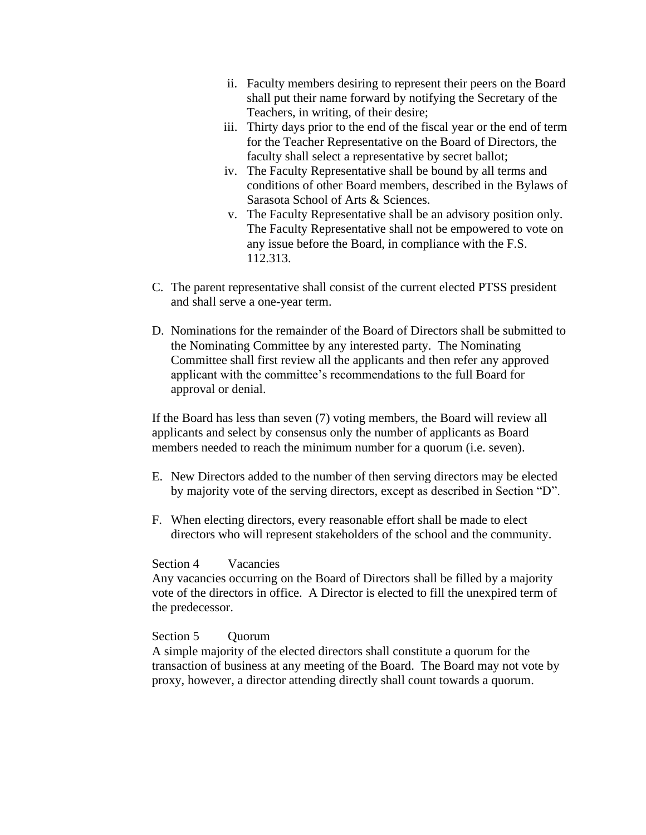- ii. Faculty members desiring to represent their peers on the Board shall put their name forward by notifying the Secretary of the Teachers, in writing, of their desire;
- iii. Thirty days prior to the end of the fiscal year or the end of term for the Teacher Representative on the Board of Directors, the faculty shall select a representative by secret ballot;
- iv. The Faculty Representative shall be bound by all terms and conditions of other Board members, described in the Bylaws of Sarasota School of Arts & Sciences.
- v. The Faculty Representative shall be an advisory position only. The Faculty Representative shall not be empowered to vote on any issue before the Board, in compliance with the F.S. 112.313.
- C. The parent representative shall consist of the current elected PTSS president and shall serve a one-year term.
- D. Nominations for the remainder of the Board of Directors shall be submitted to the Nominating Committee by any interested party. The Nominating Committee shall first review all the applicants and then refer any approved applicant with the committee's recommendations to the full Board for approval or denial.

If the Board has less than seven (7) voting members, the Board will review all applicants and select by consensus only the number of applicants as Board members needed to reach the minimum number for a quorum (i.e. seven).

- E. New Directors added to the number of then serving directors may be elected by majority vote of the serving directors, except as described in Section "D".
- F. When electing directors, every reasonable effort shall be made to elect directors who will represent stakeholders of the school and the community.

### Section 4 Vacancies

Any vacancies occurring on the Board of Directors shall be filled by a majority vote of the directors in office. A Director is elected to fill the unexpired term of the predecessor.

#### Section 5 Ouorum

A simple majority of the elected directors shall constitute a quorum for the transaction of business at any meeting of the Board. The Board may not vote by proxy, however, a director attending directly shall count towards a quorum.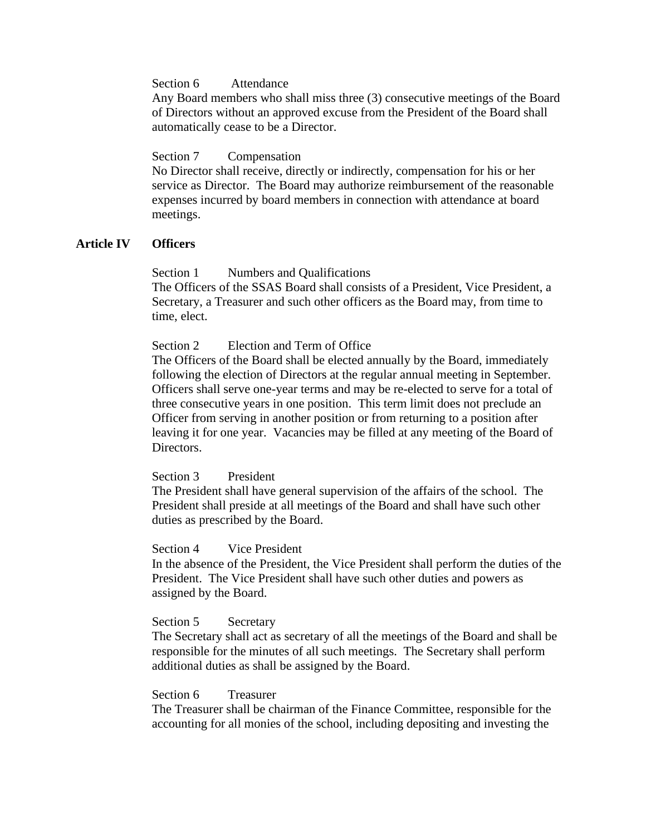Section 6 Attendance

Any Board members who shall miss three (3) consecutive meetings of the Board of Directors without an approved excuse from the President of the Board shall automatically cease to be a Director.

# Section 7 Compensation

No Director shall receive, directly or indirectly, compensation for his or her service as Director. The Board may authorize reimbursement of the reasonable expenses incurred by board members in connection with attendance at board meetings.

# **Article IV Officers**

# Section 1 Numbers and Qualifications

The Officers of the SSAS Board shall consists of a President, Vice President, a Secretary, a Treasurer and such other officers as the Board may, from time to time, elect.

### Section 2 Election and Term of Office

The Officers of the Board shall be elected annually by the Board, immediately following the election of Directors at the regular annual meeting in September. Officers shall serve one-year terms and may be re-elected to serve for a total of three consecutive years in one position. This term limit does not preclude an Officer from serving in another position or from returning to a position after leaving it for one year. Vacancies may be filled at any meeting of the Board of Directors.

Section 3 President

The President shall have general supervision of the affairs of the school. The President shall preside at all meetings of the Board and shall have such other duties as prescribed by the Board.

### Section 4 Vice President

In the absence of the President, the Vice President shall perform the duties of the President. The Vice President shall have such other duties and powers as assigned by the Board.

### Section 5 Secretary

The Secretary shall act as secretary of all the meetings of the Board and shall be responsible for the minutes of all such meetings. The Secretary shall perform additional duties as shall be assigned by the Board.

### Section 6 Treasurer

The Treasurer shall be chairman of the Finance Committee, responsible for the accounting for all monies of the school, including depositing and investing the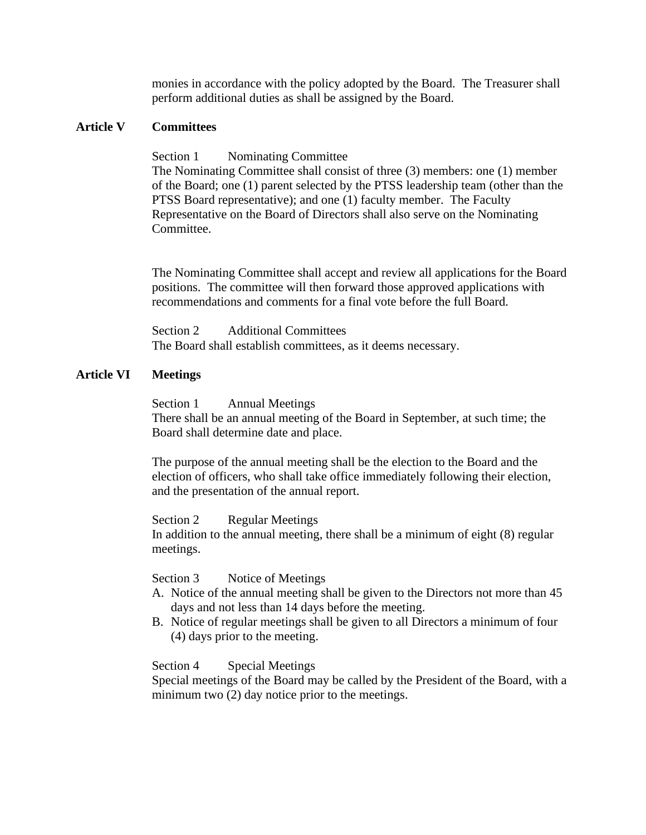monies in accordance with the policy adopted by the Board. The Treasurer shall perform additional duties as shall be assigned by the Board.

### **Article V Committees**

Section 1 Nominating Committee The Nominating Committee shall consist of three (3) members: one (1) member of the Board; one (1) parent selected by the PTSS leadership team (other than the PTSS Board representative); and one (1) faculty member. The Faculty Representative on the Board of Directors shall also serve on the Nominating **Committee.** 

The Nominating Committee shall accept and review all applications for the Board positions. The committee will then forward those approved applications with recommendations and comments for a final vote before the full Board.

Section 2 Additional Committees The Board shall establish committees, as it deems necessary.

# **Article VI Meetings**

Section 1 Annual Meetings There shall be an annual meeting of the Board in September, at such time; the Board shall determine date and place.

The purpose of the annual meeting shall be the election to the Board and the election of officers, who shall take office immediately following their election, and the presentation of the annual report.

Section 2 Regular Meetings In addition to the annual meeting, there shall be a minimum of eight (8) regular meetings.

Section 3 Notice of Meetings

- A. Notice of the annual meeting shall be given to the Directors not more than 45 days and not less than 14 days before the meeting.
- B. Notice of regular meetings shall be given to all Directors a minimum of four (4) days prior to the meeting.

Section 4 Special Meetings

Special meetings of the Board may be called by the President of the Board, with a minimum two  $(2)$  day notice prior to the meetings.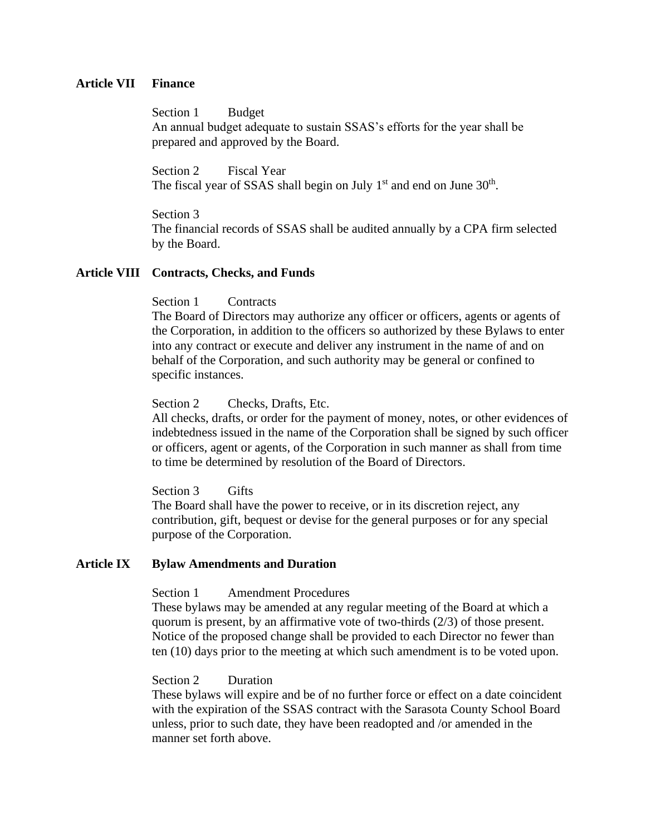#### **Article VII Finance**

Section 1 Budget An annual budget adequate to sustain SSAS's efforts for the year shall be prepared and approved by the Board.

Section 2 Fiscal Year The fiscal year of SSAS shall begin on July  $1<sup>st</sup>$  and end on June  $30<sup>th</sup>$ .

Section 3 The financial records of SSAS shall be audited annually by a CPA firm selected by the Board.

#### **Article VIII Contracts, Checks, and Funds**

# Section 1 Contracts

The Board of Directors may authorize any officer or officers, agents or agents of the Corporation, in addition to the officers so authorized by these Bylaws to enter into any contract or execute and deliver any instrument in the name of and on behalf of the Corporation, and such authority may be general or confined to specific instances.

Section 2 Checks, Drafts, Etc.

All checks, drafts, or order for the payment of money, notes, or other evidences of indebtedness issued in the name of the Corporation shall be signed by such officer or officers, agent or agents, of the Corporation in such manner as shall from time to time be determined by resolution of the Board of Directors.

Section 3 Gifts

The Board shall have the power to receive, or in its discretion reject, any contribution, gift, bequest or devise for the general purposes or for any special purpose of the Corporation.

# **Article IX Bylaw Amendments and Duration**

Section 1 Amendment Procedures

These bylaws may be amended at any regular meeting of the Board at which a quorum is present, by an affirmative vote of two-thirds (2/3) of those present. Notice of the proposed change shall be provided to each Director no fewer than ten (10) days prior to the meeting at which such amendment is to be voted upon.

### Section 2 Duration

These bylaws will expire and be of no further force or effect on a date coincident with the expiration of the SSAS contract with the Sarasota County School Board unless, prior to such date, they have been readopted and /or amended in the manner set forth above.